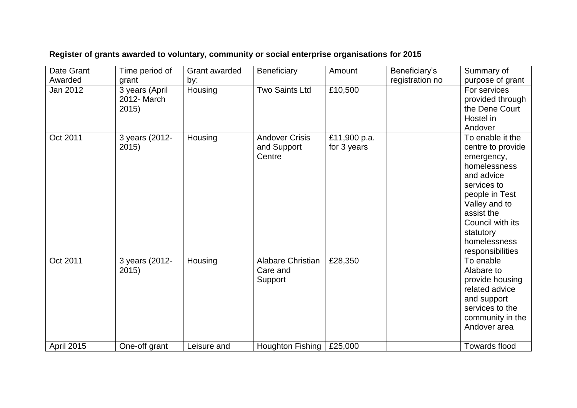| Date Grant | Time period of                         | Grant awarded | <b>Beneficiary</b>                              | Amount                      | Beneficiary's   | Summary of                                                                                                                                                                                                             |
|------------|----------------------------------------|---------------|-------------------------------------------------|-----------------------------|-----------------|------------------------------------------------------------------------------------------------------------------------------------------------------------------------------------------------------------------------|
| Awarded    | grant                                  | by:           |                                                 |                             | registration no | purpose of grant                                                                                                                                                                                                       |
| Jan 2012   | 3 years (April<br>2012- March<br>2015) | Housing       | <b>Two Saints Ltd</b>                           | £10,500                     |                 | For services<br>provided through<br>the Dene Court<br>Hostel in<br>Andover                                                                                                                                             |
| Oct 2011   | 3 years (2012-<br>2015)                | Housing       | <b>Andover Crisis</b><br>and Support<br>Centre  | £11,900 p.a.<br>for 3 years |                 | To enable it the<br>centre to provide<br>emergency,<br>homelessness<br>and advice<br>services to<br>people in Test<br>Valley and to<br>assist the<br>Council with its<br>statutory<br>homelessness<br>responsibilities |
| Oct 2011   | 3 years (2012-<br>2015)                | Housing       | <b>Alabare Christian</b><br>Care and<br>Support | £28,350                     |                 | To enable<br>Alabare to<br>provide housing<br>related advice<br>and support<br>services to the<br>community in the<br>Andover area                                                                                     |
| April 2015 | One-off grant                          | Leisure and   | Houghton Fishing                                | £25,000                     |                 | <b>Towards flood</b>                                                                                                                                                                                                   |

## **Register of grants awarded to voluntary, community or social enterprise organisations for 2015**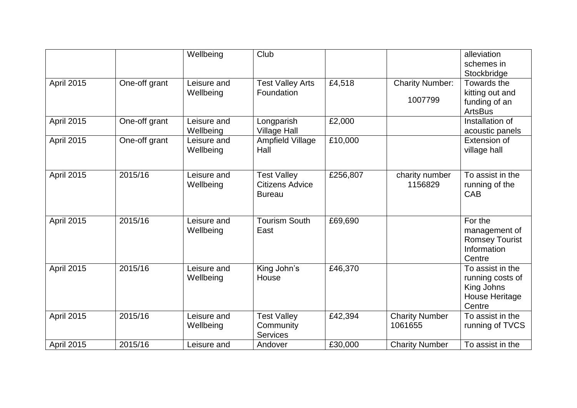|                   |               | Wellbeing                | Club                                                          |          |                                   | alleviation<br>schemes in<br>Stockbridge                                       |
|-------------------|---------------|--------------------------|---------------------------------------------------------------|----------|-----------------------------------|--------------------------------------------------------------------------------|
| April 2015        | One-off grant | Leisure and<br>Wellbeing | <b>Test Valley Arts</b><br>Foundation                         | £4,518   | <b>Charity Number:</b><br>1007799 | Towards the<br>kitting out and<br>funding of an<br><b>ArtsBus</b>              |
| April 2015        | One-off grant | Leisure and<br>Wellbeing | Longparish<br><b>Village Hall</b>                             | £2,000   |                                   | Installation of<br>acoustic panels                                             |
| <b>April 2015</b> | One-off grant | Leisure and<br>Wellbeing | Ampfield Village<br>Hall                                      | £10,000  |                                   | Extension of<br>village hall                                                   |
| April 2015        | 2015/16       | Leisure and<br>Wellbeing | <b>Test Valley</b><br><b>Citizens Advice</b><br><b>Bureau</b> | £256,807 | charity number<br>1156829         | To assist in the<br>running of the<br><b>CAB</b>                               |
| <b>April 2015</b> | 2015/16       | Leisure and<br>Wellbeing | <b>Tourism South</b><br>East                                  | £69,690  |                                   | For the<br>management of<br><b>Romsey Tourist</b><br>Information<br>Centre     |
| <b>April 2015</b> | 2015/16       | Leisure and<br>Wellbeing | King John's<br>House                                          | £46,370  |                                   | To assist in the<br>running costs of<br>King Johns<br>House Heritage<br>Centre |
| <b>April 2015</b> | 2015/16       | Leisure and<br>Wellbeing | <b>Test Valley</b><br>Community<br><b>Services</b>            | £42,394  | <b>Charity Number</b><br>1061655  | To assist in the<br>running of TVCS                                            |
| April 2015        | 2015/16       | Leisure and              | Andover                                                       | £30,000  | <b>Charity Number</b>             | To assist in the                                                               |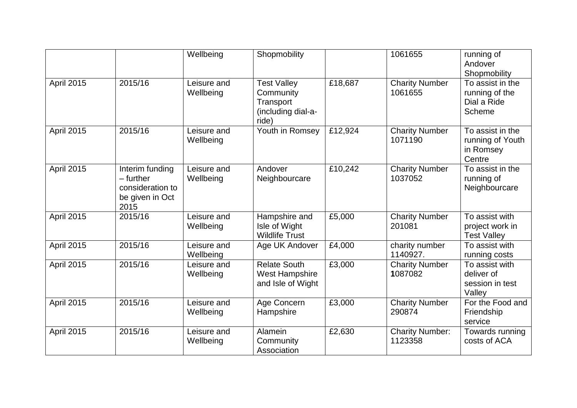|                   |                                                                               | Wellbeing                | Shopmobility                                                                |         | 1061655                           | running of<br>Andover<br>Shopmobility                       |
|-------------------|-------------------------------------------------------------------------------|--------------------------|-----------------------------------------------------------------------------|---------|-----------------------------------|-------------------------------------------------------------|
| April 2015        | 2015/16                                                                       | Leisure and<br>Wellbeing | <b>Test Valley</b><br>Community<br>Transport<br>(including dial-a-<br>ride) | £18,687 | <b>Charity Number</b><br>1061655  | To assist in the<br>running of the<br>Dial a Ride<br>Scheme |
| <b>April 2015</b> | 2015/16                                                                       | Leisure and<br>Wellbeing | Youth in Romsey                                                             | £12,924 | <b>Charity Number</b><br>1071190  | To assist in the<br>running of Youth<br>in Romsey<br>Centre |
| April 2015        | Interim funding<br>$-$ further<br>consideration to<br>be given in Oct<br>2015 | Leisure and<br>Wellbeing | Andover<br>Neighbourcare                                                    | £10,242 | <b>Charity Number</b><br>1037052  | To assist in the<br>running of<br>Neighbourcare             |
| <b>April 2015</b> | 2015/16                                                                       | Leisure and<br>Wellbeing | Hampshire and<br>Isle of Wight<br><b>Wildlife Trust</b>                     | £5,000  | <b>Charity Number</b><br>201081   | To assist with<br>project work in<br><b>Test Valley</b>     |
| April 2015        | 2015/16                                                                       | Leisure and<br>Wellbeing | Age UK Andover                                                              | £4,000  | charity number<br>1140927.        | To assist with<br>running costs                             |
| April 2015        | 2015/16                                                                       | Leisure and<br>Wellbeing | <b>Relate South</b><br><b>West Hampshire</b><br>and Isle of Wight           | £3,000  | <b>Charity Number</b><br>1087082  | To assist with<br>deliver of<br>session in test<br>Valley   |
| April 2015        | 2015/16                                                                       | Leisure and<br>Wellbeing | Age Concern<br>Hampshire                                                    | £3,000  | <b>Charity Number</b><br>290874   | For the Food and<br>Friendship<br>service                   |
| April 2015        | 2015/16                                                                       | Leisure and<br>Wellbeing | Alamein<br>Community<br>Association                                         | £2,630  | <b>Charity Number:</b><br>1123358 | Towards running<br>costs of ACA                             |